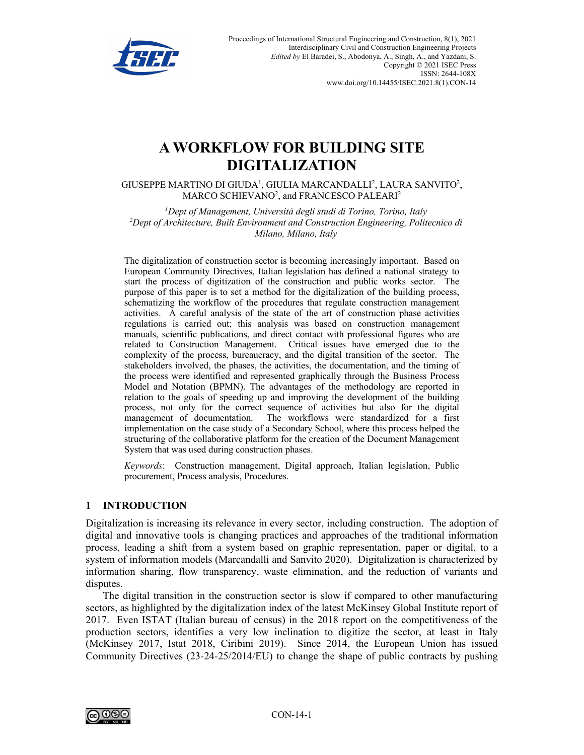

# **A WORKFLOW FOR BUILDING SITE DIGITALIZATION**

GIUSEPPE MARTINO DI GIUDA<sup>1</sup>, GIULIA MARCANDALLI<sup>2</sup>, LAURA SANVITO<sup>2</sup>, MARCO SCHIEVANO<sup>2</sup>, and FRANCESCO PALEARI<sup>2</sup>

*1 Dept of Management, Università degli studi di Torino, Torino, Italy 2 Dept of Architecture, Built Environment and Construction Engineering, Politecnico di Milano, Milano, Italy*

The digitalization of construction sector is becoming increasingly important. Based on European Community Directives, Italian legislation has defined a national strategy to start the process of digitization of the construction and public works sector. The purpose of this paper is to set a method for the digitalization of the building process, schematizing the workflow of the procedures that regulate construction management activities. A careful analysis of the state of the art of construction phase activities regulations is carried out; this analysis was based on construction management manuals, scientific publications, and direct contact with professional figures who are related to Construction Management. Critical issues have emerged due to the complexity of the process, bureaucracy, and the digital transition of the sector. The stakeholders involved, the phases, the activities, the documentation, and the timing of the process were identified and represented graphically through the Business Process Model and Notation (BPMN). The advantages of the methodology are reported in relation to the goals of speeding up and improving the development of the building process, not only for the correct sequence of activities but also for the digital management of documentation. The workflows were standardized for a first implementation on the case study of a Secondary School, where this process helped the structuring of the collaborative platform for the creation of the Document Management System that was used during construction phases.

*Keywords*: Construction management, Digital approach, Italian legislation, Public procurement, Process analysis, Procedures.

## **1 INTRODUCTION**

Digitalization is increasing its relevance in every sector, including construction. The adoption of digital and innovative tools is changing practices and approaches of the traditional information process, leading a shift from a system based on graphic representation, paper or digital, to a system of information models (Marcandalli and Sanvito 2020). Digitalization is characterized by information sharing, flow transparency, waste elimination, and the reduction of variants and disputes.

The digital transition in the construction sector is slow if compared to other manufacturing sectors, as highlighted by the digitalization index of the latest McKinsey Global Institute report of 2017. Even ISTAT (Italian bureau of census) in the 2018 report on the competitiveness of the production sectors, identifies a very low inclination to digitize the sector, at least in Italy (McKinsey 2017, Istat 2018, Ciribini 2019). Since 2014, the European Union has issued Community Directives (23-24-25/2014/EU) to change the shape of public contracts by pushing

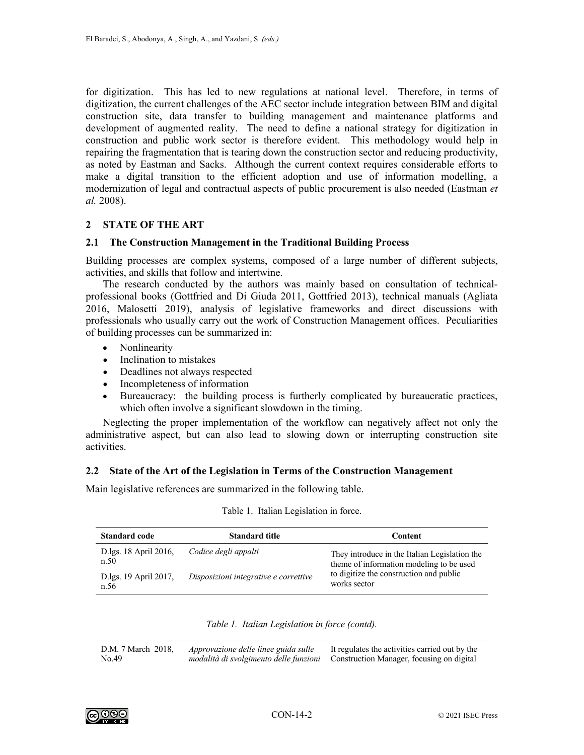for digitization. This has led to new regulations at national level. Therefore, in terms of digitization, the current challenges of the AEC sector include integration between BIM and digital construction site, data transfer to building management and maintenance platforms and development of augmented reality. The need to define a national strategy for digitization in construction and public work sector is therefore evident. This methodology would help in repairing the fragmentation that is tearing down the construction sector and reducing productivity, as noted by Eastman and Sacks. Although the current context requires considerable efforts to make a digital transition to the efficient adoption and use of information modelling, a modernization of legal and contractual aspects of public procurement is also needed (Eastman *et al.* 2008).

#### **2 STATE OF THE ART**

#### **2.1 The Construction Management in the Traditional Building Process**

Building processes are complex systems, composed of a large number of different subjects, activities, and skills that follow and intertwine.

The research conducted by the authors was mainly based on consultation of technicalprofessional books (Gottfried and Di Giuda 2011, Gottfried 2013), technical manuals (Agliata 2016, Malosetti 2019), analysis of legislative frameworks and direct discussions with professionals who usually carry out the work of Construction Management offices. Peculiarities of building processes can be summarized in:

- Nonlinearity
- Inclination to mistakes
- Deadlines not always respected
- Incompleteness of information
- Bureaucracy: the building process is furtherly complicated by bureaucratic practices, which often involve a significant slowdown in the timing.

Neglecting the proper implementation of the workflow can negatively affect not only the administrative aspect, but can also lead to slowing down or interrupting construction site activities.

#### **2.2 State of the Art of the Legislation in Terms of the Construction Management**

Main legislative references are summarized in the following table.

| <b>Standard code</b>          | <b>Standard title</b>                 | Content                                                                                   |
|-------------------------------|---------------------------------------|-------------------------------------------------------------------------------------------|
| D.lgs. 18 April 2016,<br>n.50 | Codice degli appalti                  | They introduce in the Italian Legislation the<br>theme of information modeling to be used |
| D.lgs. 19 April 2017,<br>n.56 | Disposizioni integrative e correttive | to digitize the construction and public<br>works sector                                   |

#### Table 1. Italian Legislation in force.

|  |  | Table 1. Italian Legislation in force (contd). |  |  |  |
|--|--|------------------------------------------------|--|--|--|
|--|--|------------------------------------------------|--|--|--|

D.M. 7 March 2018, No. 49 *Approvazione delle linee guida sulle modalità di svolgimento delle funzioni*  It regulates the activities carried out by the Construction Manager, focusing on digital

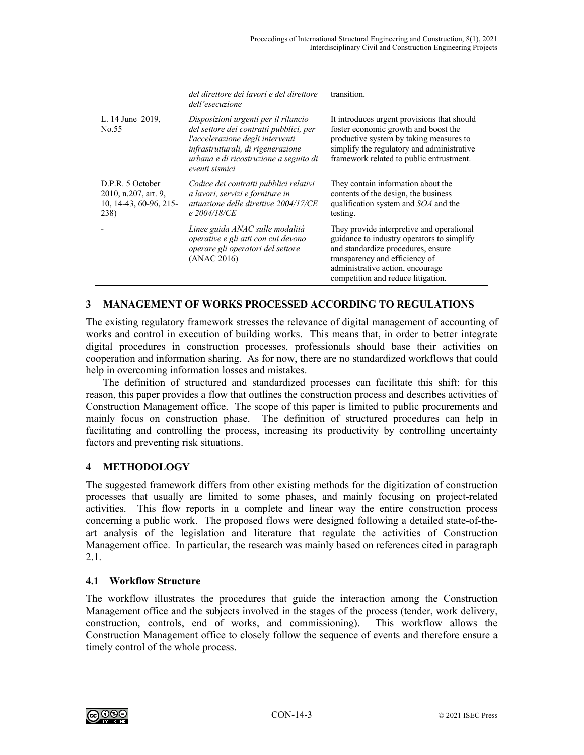|                                                                            | del direttore dei lavori e del direttore<br>dell'esecuzione                                                                                                                                                           | transition.                                                                                                                                                                                                                               |
|----------------------------------------------------------------------------|-----------------------------------------------------------------------------------------------------------------------------------------------------------------------------------------------------------------------|-------------------------------------------------------------------------------------------------------------------------------------------------------------------------------------------------------------------------------------------|
| L. 14 June 2019,<br>No.55                                                  | Disposizioni urgenti per il rilancio<br>del settore dei contratti pubblici, per<br>l'accelerazione degli interventi<br>infrastrutturali, di rigenerazione<br>urbana e di ricostruzione a seguito di<br>eventi sismici | It introduces urgent provisions that should<br>foster economic growth and boost the<br>productive system by taking measures to<br>simplify the regulatory and administrative<br>framework related to public entrustment.                  |
| D.P.R. 5 October<br>2010, n.207, art. 9,<br>10, 14-43, 60-96, 215-<br>238) | Codice dei contratti pubblici relativi<br>a lavori, servizi e forniture in<br>attuazione delle direttive 2004/17/CE<br>e 2004/18/CE                                                                                   | They contain information about the<br>contents of the design, the business<br>qualification system and SOA and the<br>testing.                                                                                                            |
|                                                                            | Linee guida ANAC sulle modalità<br>operative e gli atti con cui devono<br>operare gli operatori del settore<br>(ANAC 2016)                                                                                            | They provide interpretive and operational<br>guidance to industry operators to simplify<br>and standardize procedures, ensure<br>transparency and efficiency of<br>administrative action, encourage<br>competition and reduce litigation. |

## **3 MANAGEMENT OF WORKS PROCESSED ACCORDING TO REGULATIONS**

The existing regulatory framework stresses the relevance of digital management of accounting of works and control in execution of building works. This means that, in order to better integrate digital procedures in construction processes, professionals should base their activities on cooperation and information sharing. As for now, there are no standardized workflows that could help in overcoming information losses and mistakes.

The definition of structured and standardized processes can facilitate this shift: for this reason, this paper provides a flow that outlines the construction process and describes activities of Construction Management office. The scope of this paper is limited to public procurements and mainly focus on construction phase. The definition of structured procedures can help in facilitating and controlling the process, increasing its productivity by controlling uncertainty factors and preventing risk situations.

## **4 METHODOLOGY**

The suggested framework differs from other existing methods for the digitization of construction processes that usually are limited to some phases, and mainly focusing on project-related activities. This flow reports in a complete and linear way the entire construction process concerning a public work. The proposed flows were designed following a detailed state-of-theart analysis of the legislation and literature that regulate the activities of Construction Management office. In particular, the research was mainly based on references cited in paragraph 2.1.

## **4.1 Workflow Structure**

The workflow illustrates the procedures that guide the interaction among the Construction Management office and the subjects involved in the stages of the process (tender, work delivery, construction, controls, end of works, and commissioning). This workflow allows the Construction Management office to closely follow the sequence of events and therefore ensure a timely control of the whole process.

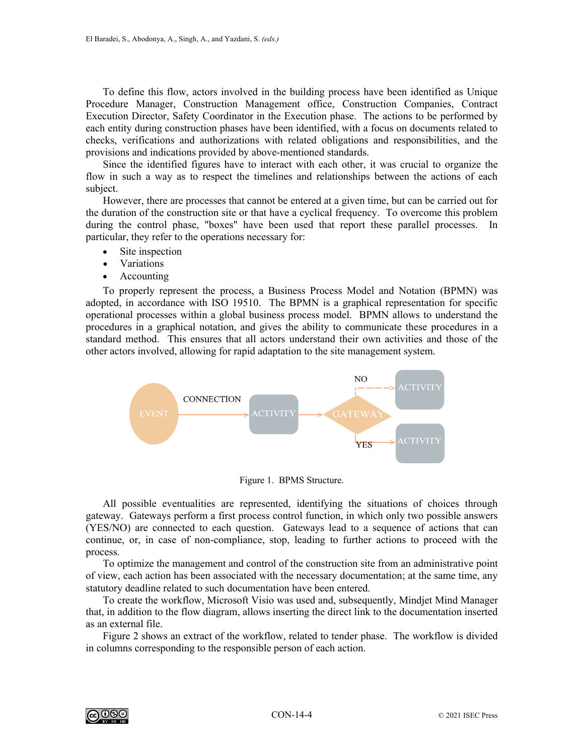To define this flow, actors involved in the building process have been identified as Unique Procedure Manager, Construction Management office, Construction Companies, Contract Execution Director, Safety Coordinator in the Execution phase. The actions to be performed by each entity during construction phases have been identified, with a focus on documents related to checks, verifications and authorizations with related obligations and responsibilities, and the provisions and indications provided by above-mentioned standards.

Since the identified figures have to interact with each other, it was crucial to organize the flow in such a way as to respect the timelines and relationships between the actions of each subject.

However, there are processes that cannot be entered at a given time, but can be carried out for the duration of the construction site or that have a cyclical frequency. To overcome this problem during the control phase, "boxes" have been used that report these parallel processes. In particular, they refer to the operations necessary for:

- Site inspection
- Variations
- Accounting

To properly represent the process, a Business Process Model and Notation (BPMN) was adopted, in accordance with ISO 19510. The BPMN is a graphical representation for specific operational processes within a global business process model. BPMN allows to understand the procedures in a graphical notation, and gives the ability to communicate these procedures in a standard method. This ensures that all actors understand their own activities and those of the other actors involved, allowing for rapid adaptation to the site management system.



Figure 1. BPMS Structure.

All possible eventualities are represented, identifying the situations of choices through gateway. Gateways perform a first process control function, in which only two possible answers (YES/NO) are connected to each question. Gateways lead to a sequence of actions that can continue, or, in case of non-compliance, stop, leading to further actions to proceed with the process.

To optimize the management and control of the construction site from an administrative point of view, each action has been associated with the necessary documentation; at the same time, any statutory deadline related to such documentation have been entered.

To create the workflow, Microsoft Visio was used and, subsequently, Mindjet Mind Manager that, in addition to the flow diagram, allows inserting the direct link to the documentation inserted as an external file.

Figure 2 shows an extract of the workflow, related to tender phase. The workflow is divided in columns corresponding to the responsible person of each action.

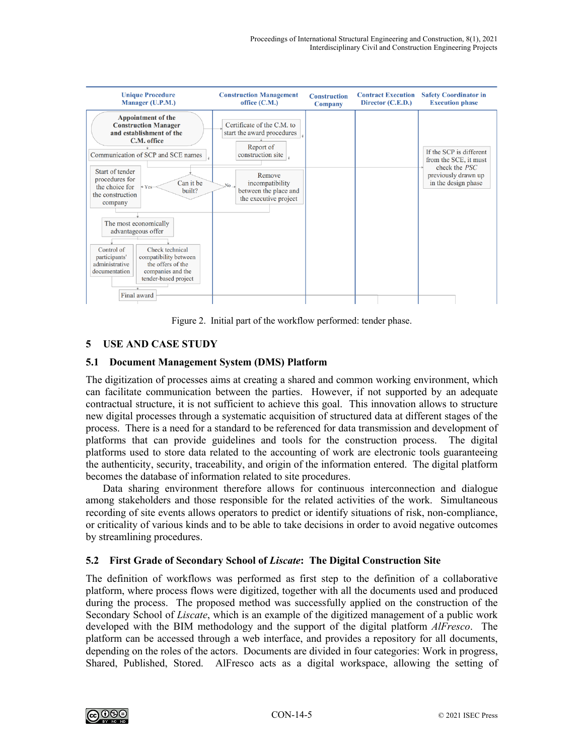

Figure 2. Initial part of the workflow performed: tender phase.

# **5 USE AND CASE STUDY**

## **5.1 Document Management System (DMS) Platform**

The digitization of processes aims at creating a shared and common working environment, which can facilitate communication between the parties. However, if not supported by an adequate contractual structure, it is not sufficient to achieve this goal. This innovation allows to structure new digital processes through a systematic acquisition of structured data at different stages of the process. There is a need for a standard to be referenced for data transmission and development of platforms that can provide guidelines and tools for the construction process. The digital platforms used to store data related to the accounting of work are electronic tools guaranteeing the authenticity, security, traceability, and origin of the information entered. The digital platform becomes the database of information related to site procedures.

Data sharing environment therefore allows for continuous interconnection and dialogue among stakeholders and those responsible for the related activities of the work. Simultaneous recording of site events allows operators to predict or identify situations of risk, non-compliance, or criticality of various kinds and to be able to take decisions in order to avoid negative outcomes by streamlining procedures.

# **5.2 First Grade of Secondary School of** *Liscate***: The Digital Construction Site**

The definition of workflows was performed as first step to the definition of a collaborative platform, where process flows were digitized, together with all the documents used and produced during the process. The proposed method was successfully applied on the construction of the Secondary School of *Liscate*, which is an example of the digitized management of a public work developed with the BIM methodology and the support of the digital platform *AlFresco*. The platform can be accessed through a web interface, and provides a repository for all documents, depending on the roles of the actors. Documents are divided in four categories: Work in progress, Shared, Published, Stored. AlFresco acts as a digital workspace, allowing the setting of